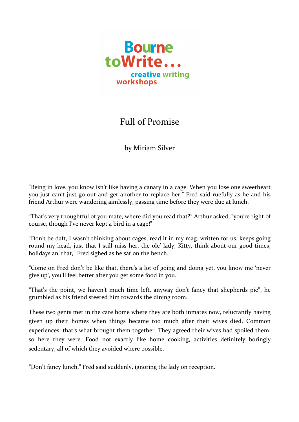

## Full of Promise

by Miriam Silver

"Being in love, you know isn't like having a canary in a cage. When you lose one sweetheart you just can't just go out and get another to replace her," Fred said ruefully as he and his friend Arthur were wandering aimlessly, passing time before they were due at lunch.

"That's very thoughtful of you mate, where did you read that?" Arthur asked, "you're right of course, though I've never kept a bird in a cage!"

"Don't be daft, I wasn't thinking about cages, read it in my mag. written for us, keeps going round my head, just that I still miss her, the ole' lady, Kitty, think about our good times, holidays an' that," Fred sighed as he sat on the bench.

"Come on Fred don't be like that, there's a lot of going and doing yet, you know me 'never give up', you'll feel better after you get some food in you."

"That's the point, we haven't much time left, anyway don't fancy that shepherds pie", he grumbled as his friend steered him towards the dining room.

These two gents met in the care home where they are both inmates now, reluctantly having given up their homes when things became too much after their wives died. Common experiences, that's what brought them together. They agreed their wives had spoiled them, so here they were. Food not exactly like home cooking, activities definitely boringly sedentary, all of which they avoided where possible.

"Don't fancy lunch," Fred said suddenly, ignoring the lady on reception.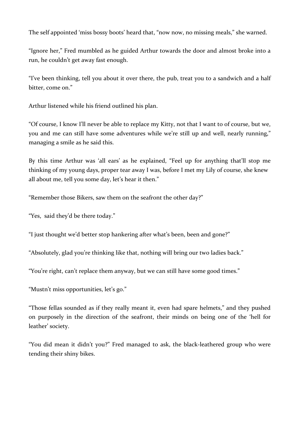The self appointed 'miss bossy boots' heard that, "now now, no missing meals," she warned.

"Ignore her," Fred mumbled as he guided Arthur towards the door and almost broke into a run, he couldn't get away fast enough.

"I've been thinking, tell you about it over there, the pub, treat you to a sandwich and a half bitter, come on."

Arthur listened while his friend outlined his plan.

"Of course, I know I'll never be able to replace my Kitty, not that I want to of course, but we, you and me can still have some adventures while we're still up and well, nearly running," managing a smile as he said this.

By this time Arthur was 'all ears' as he explained, "Feel up for anything that'll stop me thinking of my young days, proper tear away I was, before I met my Lily of course, she knew all about me, tell you some day, let's hear it then."

"Remember those Bikers, saw them on the seafront the other day?"

"Yes, said they'd be there today."

"I just thought we'd better stop hankering after what's been, been and gone?"

"Absolutely, glad you're thinking like that, nothing will bring our two ladies back."

"You're right, can't replace them anyway, but we can still have some good times."

"Mustn't miss opportunities, let's go."

"Those fellas sounded as if they really meant it, even had spare helmets," and they pushed on purposely in the direction of the seafront, their minds on being one of the 'hell for leather' society.

"You did mean it didn't you?" Fred managed to ask, the black-leathered group who were tending their shiny bikes.